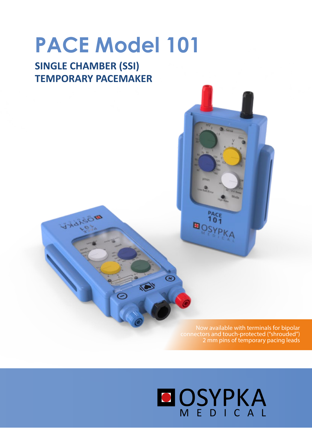# **PACE Model 101**

# **SINGLE CHAMBER (SSI) TEMPORARY PACEMAKER**

VIANSOR

Now available with terminals for bipolar connectors and touch-protected ("shrouded") 2 mm pins of temporary pacing leads

# **MEDICAL**

 $\blacksquare$ 

 $\overline{\mathscr{C}}$ 

I